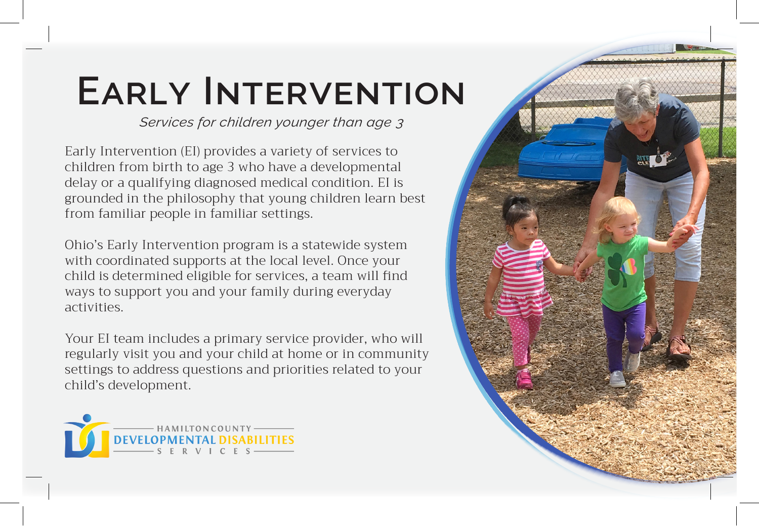## **Early Intervention**

*Services for children younger than age 3*

Early Intervention (EI) provides a variety of services to children from birth to age 3 who have a developmental delay or a qualifying diagnosed medical condition. EI is grounded in the philosophy that young children learn best from familiar people in familiar settings.

Ohio's Early Intervention program is a statewide system with coordinated supports at the local level. Once your child is determined eligible for services, a team will find ways to support you and your family during everyday activities.

Your EI team includes a primary service provider, who will regularly visit you and your child at home or in community settings to address questions and priorities related to your child's development.